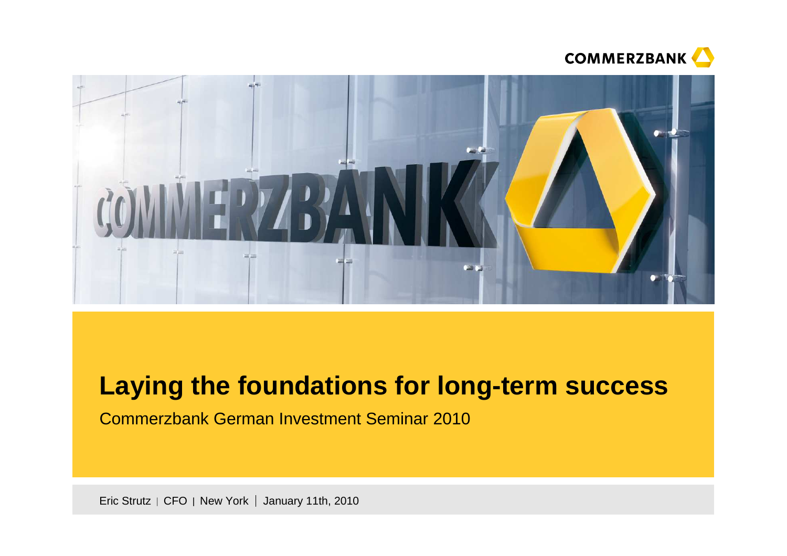



# **Laying the foundations for long-term success**

Commerzbank German Investment Seminar 2010

Eric Strutz  $\mid$  CFO  $\mid$  New York  $\mid$  January 11th, 2010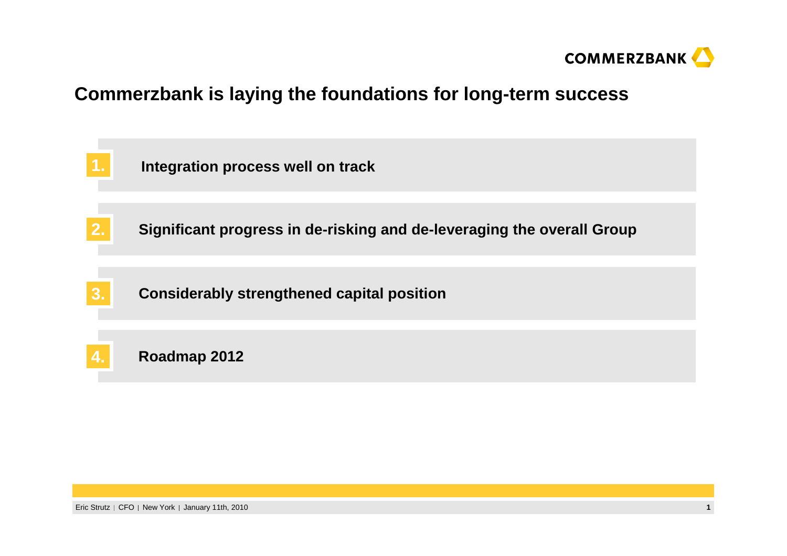

### **Commerzbank is laying the foundations for long-term success**

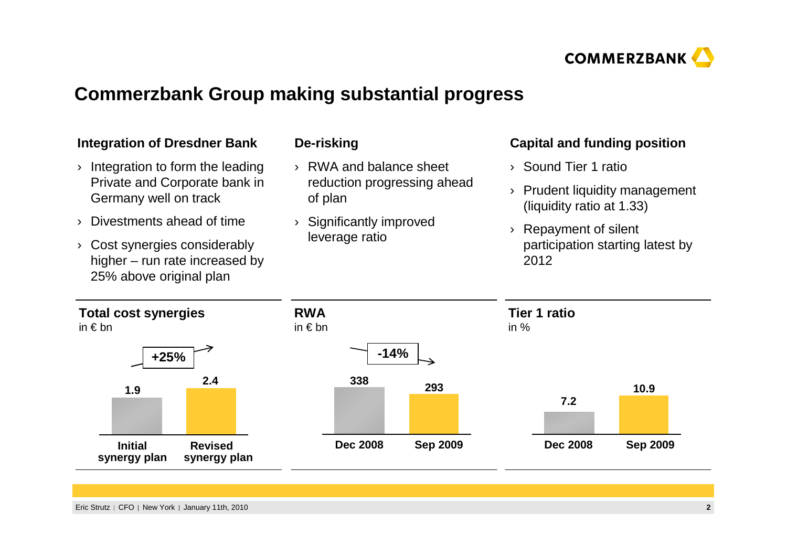

# **Commerzbank Group making substantial progress**

| <b>Integration of Dresdner Bank</b>                                                        | De-risking                             | <b>Capital and funding position</b>                             |  |  |
|--------------------------------------------------------------------------------------------|----------------------------------------|-----------------------------------------------------------------|--|--|
| Integration to form the leading                                                            | RWA and balance sheet<br>$\rightarrow$ | Sound Tier 1 ratio<br>$\sum_{i=1}^{n}$                          |  |  |
| Private and Corporate bank in<br>Germany well on track                                     | reduction progressing ahead<br>of plan | Prudent liquidity management<br>(liquidity ratio at 1.33)       |  |  |
| Divestments ahead of time                                                                  | Significantly improved                 | Repayment of silent<br>participation starting latest by<br>2012 |  |  |
| Cost synergies considerably<br>higher $-$ run rate increased by<br>25% above original plan | leverage ratio                         |                                                                 |  |  |
| <b>Total cost synergies</b>                                                                | <b>RWA</b>                             | <b>Tier 1 ratio</b>                                             |  |  |
| in $\epsilon$ bn                                                                           | in $\notin$ bn                         | in $%$                                                          |  |  |
| $+25%$                                                                                     | $-14%$                                 |                                                                 |  |  |
| 2.4<br>1.9                                                                                 | 338<br>293                             | 10.9                                                            |  |  |
|                                                                                            |                                        | 7.2                                                             |  |  |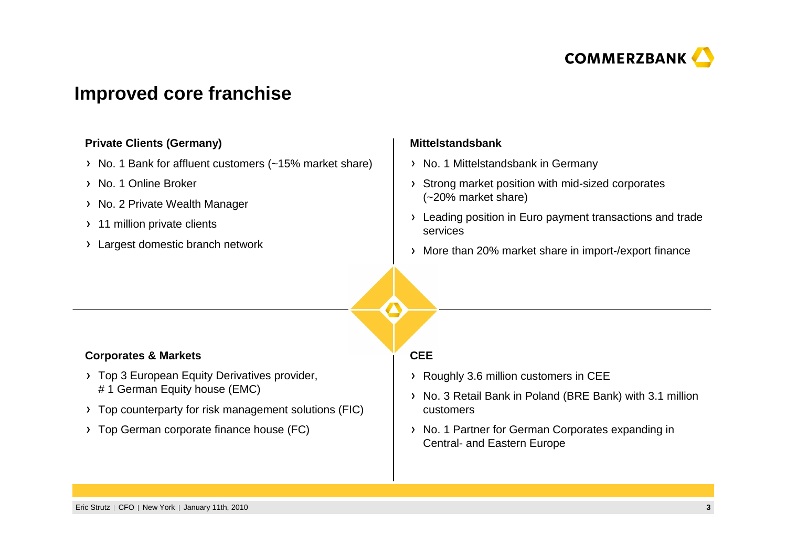

### **Improved core franchise**

#### **Private Clients (Germany)**

- > No. 1 Bank for affluent customers (~15% market share)
- > No. 1 Online Broker
- > No. 2 Private Wealth Manager
- > 11 million private clients
- Largest domestic branch network

#### **Mittelstandsbank**

- > No. 1 Mittelstandsbank in Germany
- Strong market position with mid-sized corporates (~20% market share)
- > Leading position in Euro payment transactions and trade services
- More than 20% market share in import-/export finance

#### **Corporates & Markets**

- > Top 3 European Equity Derivatives provider, # 1 German Equity house (EMC)
- Top counterparty for risk management solutions (FIC)
- > Top German corporate finance house (FC)

#### **CEE**

- Roughly 3.6 million customers in CEE
- No. 3 Retail Bank in Poland (BRE Bank) with 3.1 million customers
- > No. 1 Partner for German Corporates expanding in Central- and Eastern Europe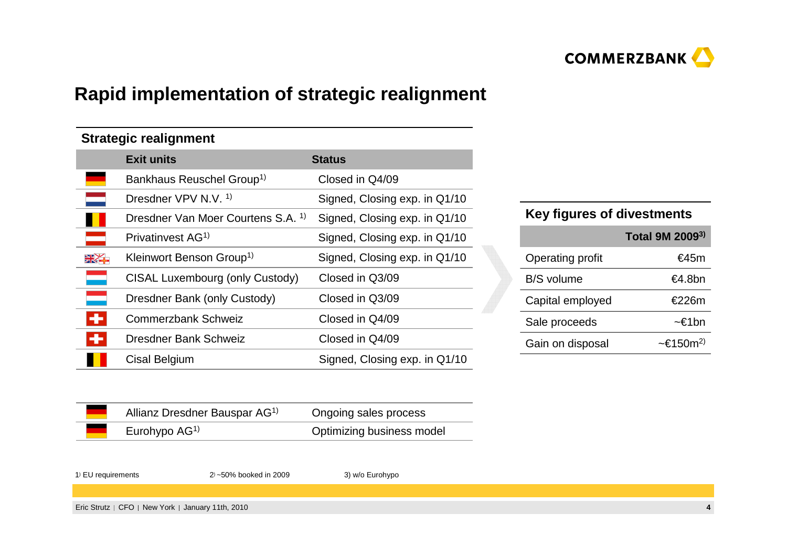

# **Rapid implementation of strategic realignment**

#### **Strategic realignment**

|                 | <b>Exit units</b>                             | <b>Status</b>                 |
|-----------------|-----------------------------------------------|-------------------------------|
|                 | Bankhaus Reuschel Group <sup>1)</sup>         | Closed in Q4/09               |
|                 | Dresdner VPV N.V. <sup>1)</sup>               | Signed, Closing exp. in Q1/10 |
|                 | Dresdner Van Moer Courtens S.A. <sup>1)</sup> | Signed, Closing exp. in Q1/10 |
|                 | Privatinvest AG <sup>1)</sup>                 | Signed, Closing exp. in Q1/10 |
|                 | Kleinwort Benson Group <sup>1)</sup>          | Signed, Closing exp. in Q1/10 |
|                 | CISAL Luxembourg (only Custody)               | Closed in Q3/09               |
| and the control | Dresdner Bank (only Custody)                  | Closed in Q3/09               |
| ÷               | Commerzbank Schweiz                           | Closed in Q4/09               |
| ÷               | Dresdner Bank Schweiz                         | Closed in Q4/09               |
|                 | Cisal Belgium                                 | Signed, Closing exp. in Q1/10 |

#### **Key figures of divestments**

|                  | Total 9M 2009 <sup>3)</sup>        |
|------------------|------------------------------------|
| Operating profit | €45m                               |
| B/S volume       | €4.8bn                             |
| Capital employed | €226m                              |
| Sale proceeds    | ~€1bn                              |
| Gain on disposal | $\sim \epsilon$ 150m <sup>2)</sup> |

| Allianz Dresdner Bauspar AG <sup>1)</sup> | Ongoing sales process     |
|-------------------------------------------|---------------------------|
| Eurohypo $AG1$                            | Optimizing business model |

<sup>1</sup>) EU requirements <sup>2</sup>) ~50% booked in 2009 3) w/o Eurohypo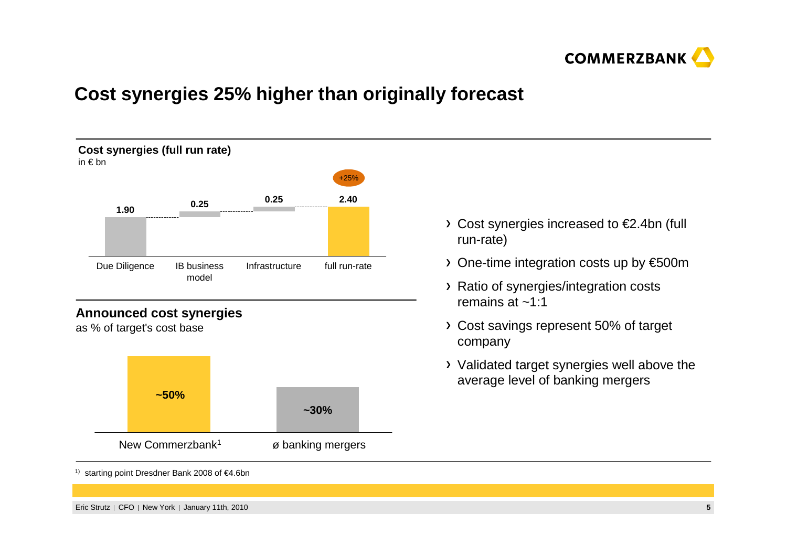

# **Cost synergies 25% higher than originally forecast**



as % of target's cost base



- Cost synergies increased to €2.4bn (full run-rate)
- One-time integration costs up by €500m
- Ratio of synergies/integration costs remains at ~1:1
- Cost savings represent 50% of target company
- Validated target synergies well above the average level of banking mergers

1) starting point Dresdner Bank 2008 of €4.6bn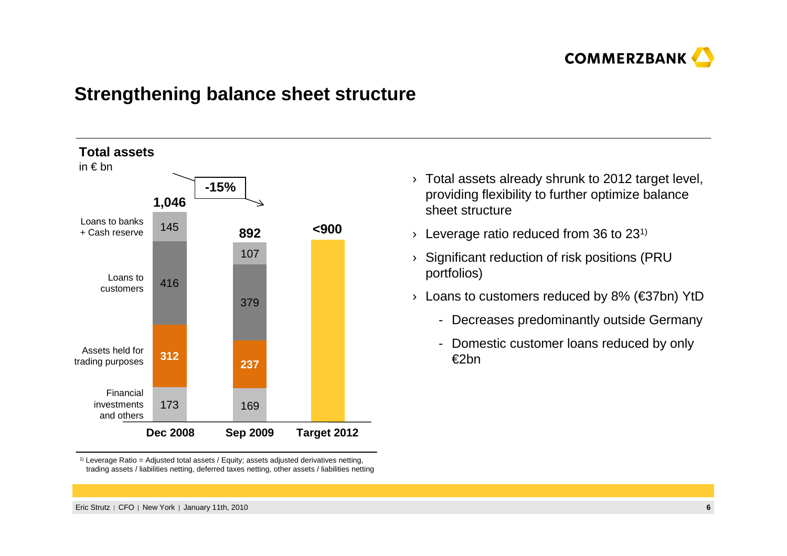

#### **Strengthening balance sheet structure**



 $^{\text{\tiny{(1)}}}$  Leverage Ratio = Adjusted total assets / Equity; assets adjusted derivatives netting, trading assets / liabilities netting, deferred taxes netting, other assets / liabilities netting

- $\rightarrow$  Total assets already shrunk to 2012 target level, providing flexibility to further optimize balance sheet structure
- $\rightarrow$  Leverage ratio reduced from 36 to 231)
- › Significant reduction of risk positions (PRU portfolios)
- › Loans to customers reduced by 8% (€37bn) YtD
	- Decreases predominantly outside Germany
	- Domestic customer loans reduced by only €2bn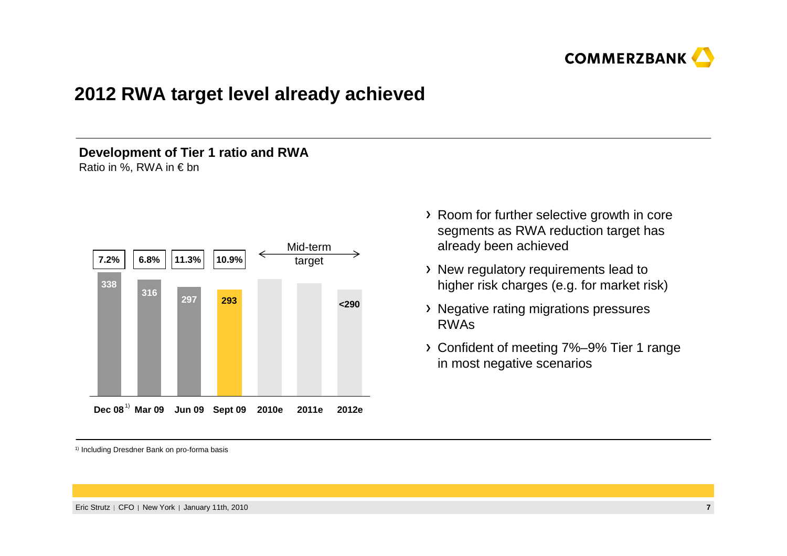

### **2012 RWA target level already achieved**

#### **Development of Tier 1 ratio and RWA**Ratio in %, RWA in € bn

1) **Dec 08 Mar 09 Jun 09 Sept 09 2010e 2011e 2012e7.2% 6.8% 11.3% 10.9%** Mid-term target**316297 <sup>293</sup> <290338**

1) Including Dresdner Bank on pro-forma basis

- Room for further selective growth in core segments as RWA reduction target has already been achieved
- New regulatory requirements lead to higher risk charges (e.g. for market risk)
- Negative rating migrations pressures RWAs
- Confident of meeting 7%–9% Tier 1 range in most negative scenarios

Eric Strutz | CFO | New York | January 11th, 2010 0. *Phone Commission Commission Commission Commission Commission Commission Commission Commission Commission Commission Commission Commission Commission Commission Commission Commission Commission Commission Commission Co*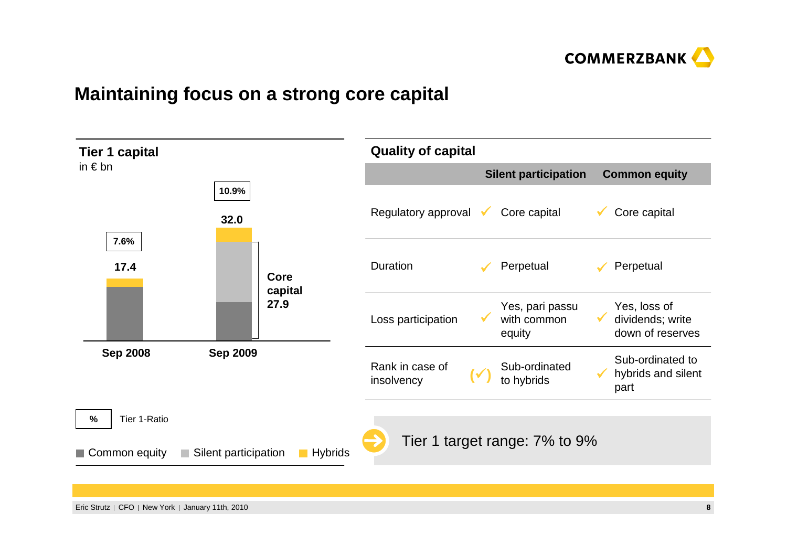

### **Maintaining focus on a strong core capital**

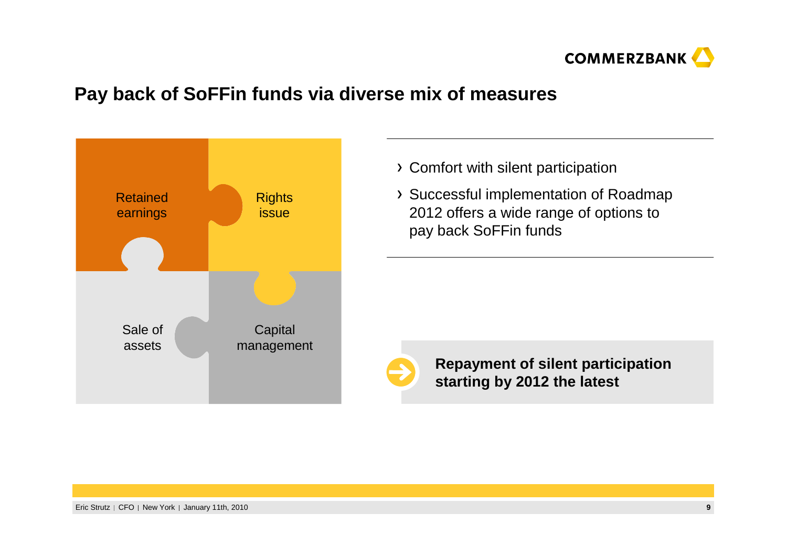

### **Pay back of SoFFin funds via diverse mix of measures**



- Comfort with silent participation
- Successful implementation of Roadmap 2012 offers a wide range of options to pay back SoFFin funds



**Repayment of silent participation starting by 2012 the latest**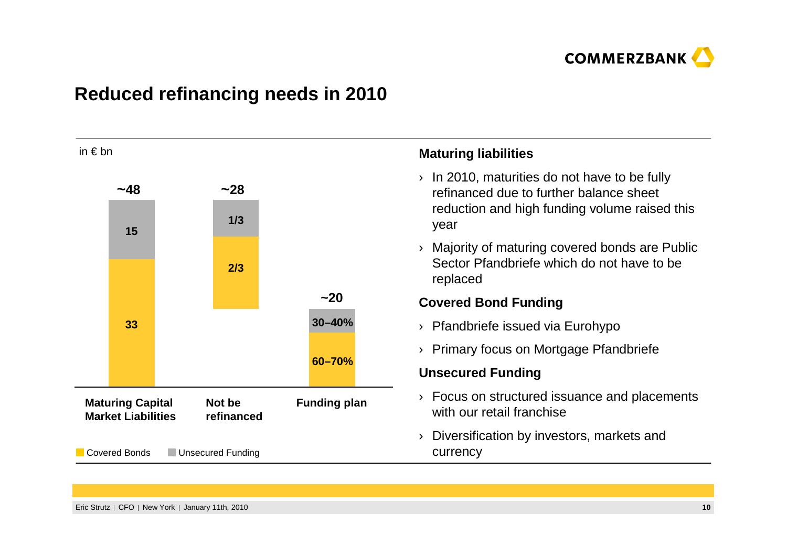

# **Reduced refinancing needs in 2010**

| in $\epsilon$ bn                                                             |               |                     |                                                                          |                                                                                                         | <b>Maturing liabilities</b>                                                                 |
|------------------------------------------------------------------------------|---------------|---------------------|--------------------------------------------------------------------------|---------------------------------------------------------------------------------------------------------|---------------------------------------------------------------------------------------------|
|                                                                              | ~148          |                     | ~28                                                                      | In 2010, maturities do not have to be fully<br>$\rightarrow$<br>refinanced due to further balance sheet |                                                                                             |
|                                                                              | 15            | 1/3                 |                                                                          |                                                                                                         | reduction and high funding volume raised this<br>year                                       |
|                                                                              |               |                     | 2/3<br>replaced                                                          |                                                                                                         | Majority of maturing covered bonds are Public<br>Sector Pfandbriefe which do not have to be |
|                                                                              |               |                     |                                                                          | $-20$                                                                                                   | <b>Covered Bond Funding</b>                                                                 |
|                                                                              | 33            |                     |                                                                          | $30 - 40%$                                                                                              | Pfandbriefe issued via Eurohypo<br>$\rightarrow$                                            |
|                                                                              |               |                     |                                                                          |                                                                                                         | Primary focus on Mortgage Pfandbriefe<br>$\sum_{i=1}^{n}$                                   |
|                                                                              |               |                     |                                                                          | 60-70%                                                                                                  | <b>Unsecured Funding</b>                                                                    |
| <b>Maturing Capital</b><br>Not be<br><b>Market Liabilities</b><br>refinanced |               | <b>Funding plan</b> | Focus on structured issuance and placements<br>with our retail franchise |                                                                                                         |                                                                                             |
|                                                                              | Covered Bonds | Unsecured Funding   |                                                                          |                                                                                                         | Diversification by investors, markets and<br>$\rightarrow$<br>currency                      |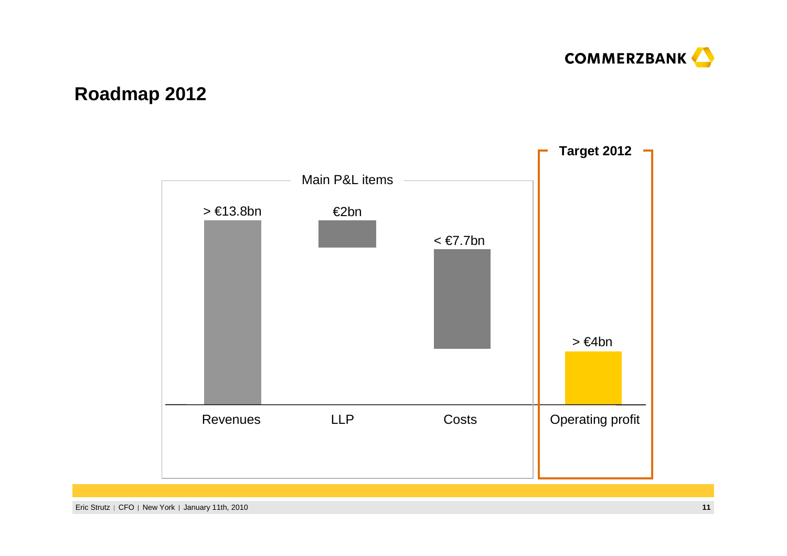

# **Roadmap 2012**

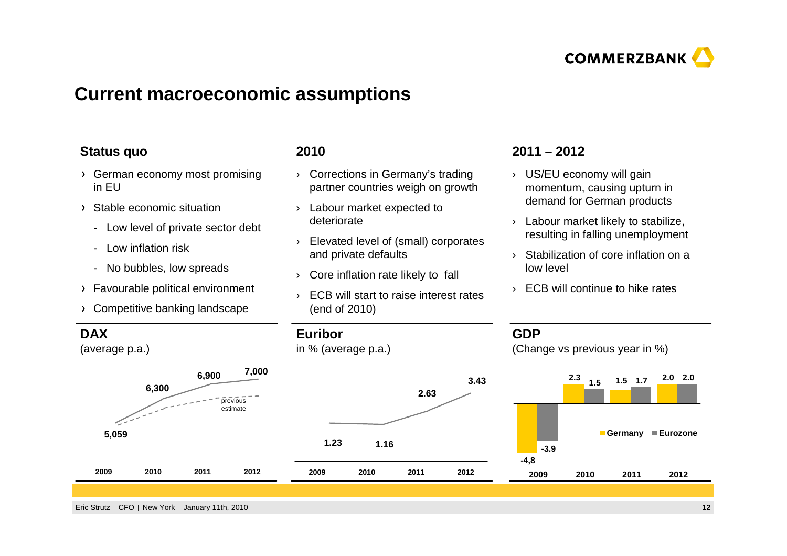

#### **Current macroeconomic assumptions**

#### **Status quo**

- German economy most promising in EU
- Stable economic situation
	- Low level of private sector debt
	- Low inflation risk
	- No bubbles, low spreads
- Favourable political environment
- Competitive banking landscape

#### **2010**

- › Corrections in Germany's trading partner countries weigh on growth
- › Labour market expected to deteriorate
- › Elevated level of (small) corporatesand private defaults
- › Core inflation rate likely to fall
- › ECB will start to raise interest rates (end of 2010)

#### **2011 – 2012**

- › US/EU economy will gain momentum, causing upturn in demand for German products
- › Labour market likely to stabilize, resulting in falling unemployment
- › Stabilization of core inflation on a low level
- › ECB will continue to hike rates

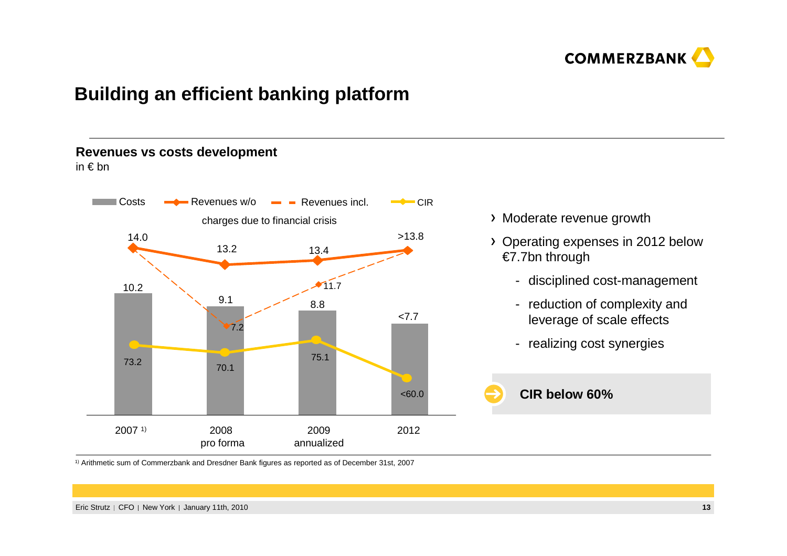

### **Building an efficient banking platform**

#### **Revenues vs costs development**

in € bn



- Moderate revenue growth
- Operating expenses in 2012 below €7.7bn through
	- disciplined cost-management
	- reduction of complexity and leverage of scale effects
	- realizing cost synergies



 $^\text{\tiny 1)}$  Arithmetic sum of Commerzbank and Dresdner Bank figures as reported as of December 31st, 2007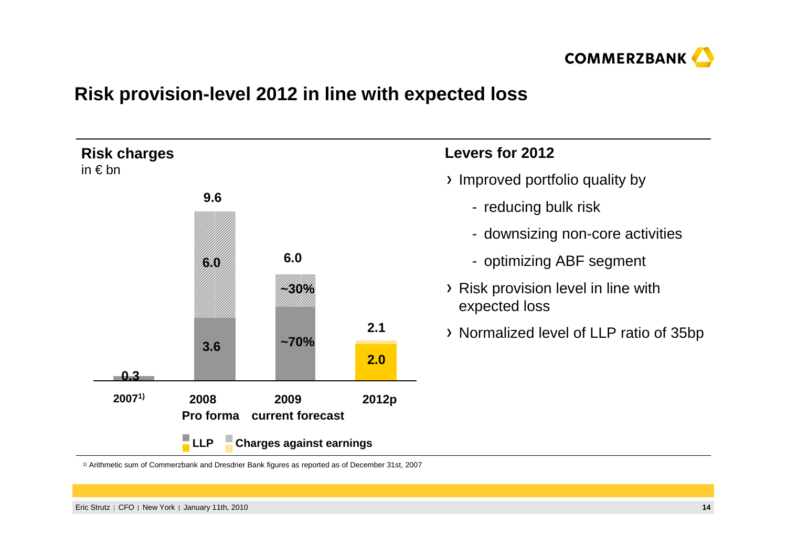

## **Risk provision-level 2012 in line with expected loss**



1) Arithmetic sum of Commerzbank and Dresdner Bank figures as reported as of December 31st, 2007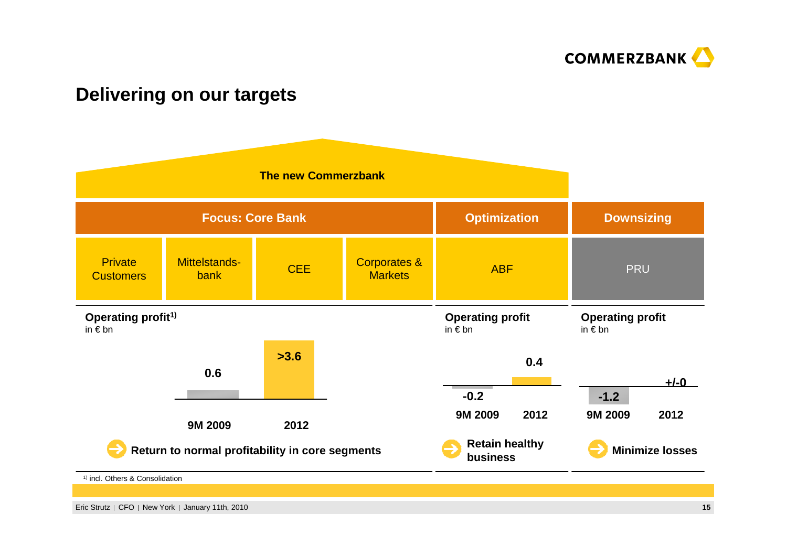

### **Delivering on our targets**

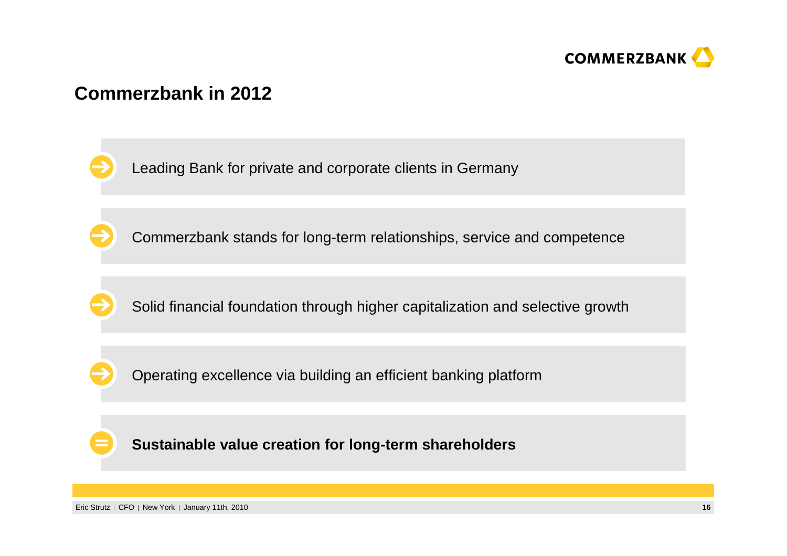

### **Commerzbank in 2012**

Leading Bank for private and corporate clients in Germany

Commerzbank stands for long-term relationships, service and competence

Solid financial foundation through higher capitalization and selective growth

Operating excellence via building an efficient banking platform

**Sustainable value creation for long-term shareholders**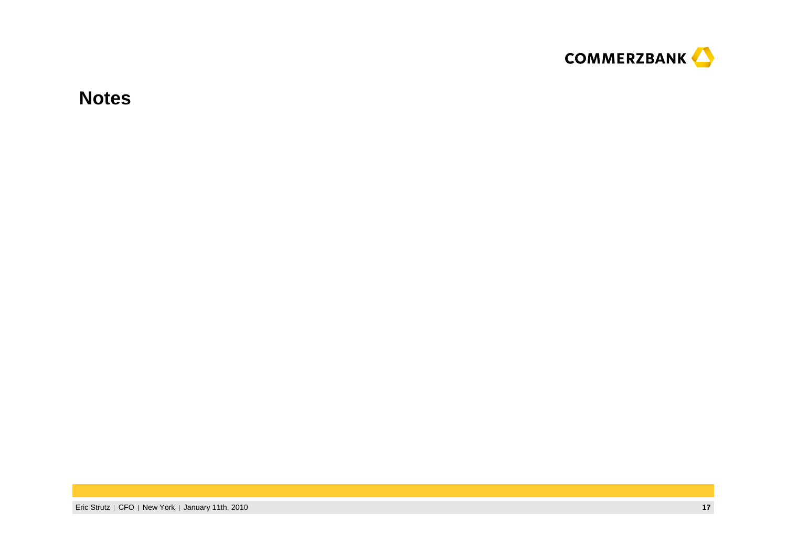

**Notes**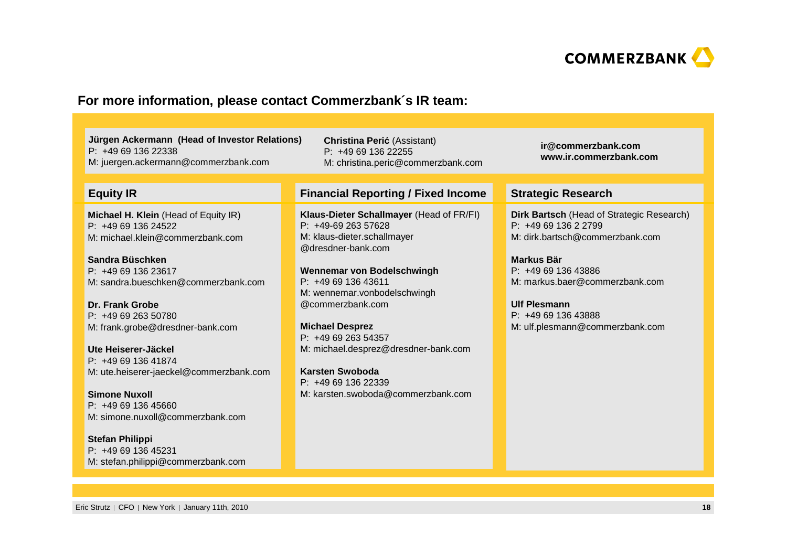

#### **For more information, please contact Commerzbank´s IR team:**

**Jürgen Ackermann (Head of Investor Relations)**P: +49 69 136 22338M: juergen.ackermann@commerzbank.com

M: christina.peric@commerzbank.com

#### **Equity IR**

**Michael H. Klein** (Head of Equity IR)P: +49 69 136 24522M: michael.klein@commerzbank.com

**Sandra Büschken** P: +49 69 136 23617M: sandra.bueschken@commerzbank.com

**Dr. Frank Grobe** P: +49 69 263 50780M: frank.grobe@dresdner-bank.com

**Ute Heiserer-Jäckel** P: +49 69 136 41874M: ute.heiserer-jaeckel@commerzbank.com

**Simone Nuxoll** P: +49 69 136 45660M: simone.nuxoll@commerzbank.com

**Stefan Philippi** P: +49 69 136 45231M: stefan.philippi@commerzbank.com **Financial Reporting / Fixed Income Strategic Research**

**Christina Peri**ć (Assistant) P: +49 69 136 22255

**Klaus-Dieter Schallmayer** (Head of FR/FI)P: +49-69 263 57628 M: klaus-dieter.schallmayer@dresdner-bank.com

**Wennemar von Bodelschwingh**P: +49 69 136 43611 M: wennemar.vonbodelschwingh@commerzbank.com

**Michael Desprez** P: +49 69 263 54357M: michael.desprez@dresdner-bank.com

**Karsten Swoboda** P: +49 69 136 22339M: karsten.swoboda@commerzbank.com **ir@commerzbank.comwww.ir.commerzbank.com**

**Dirk Bartsch** (Head of Strategic Research)P: +49 69 136 2 2799 M: dirk.bartsch@commerzbank.com

**Markus Bär** P: +49 69 136 43886 M: markus.baer@commerzbank.com

**Ulf Plesmann** P: +49 69 136 43888 M: ulf.plesmann@commerzbank.com